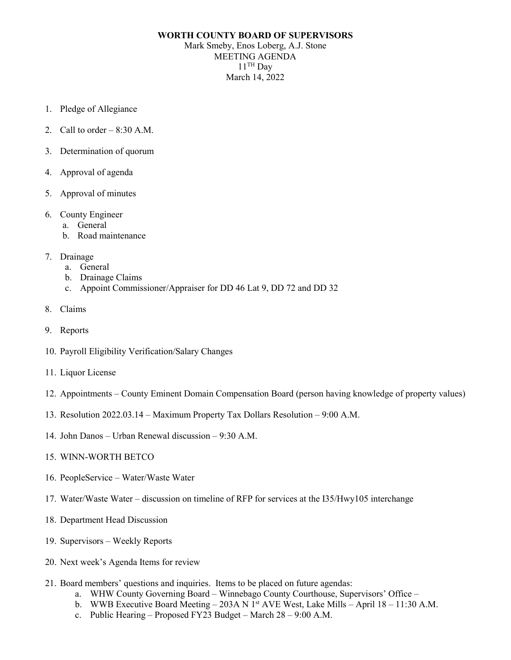## **WORTH COUNTY BOARD OF SUPERVISORS** Mark Smeby, Enos Loberg, A.J. Stone MEETING AGENDA  $11$ <sup>TH</sup> Day March 14, 2022

- 1. Pledge of Allegiance
- 2. Call to order  $-8:30$  A.M.
- 3. Determination of quorum
- 4. Approval of agenda
- 5. Approval of minutes
- 6. County Engineer
	- a. General
	- b. Road maintenance
- 7. Drainage
	- a. General
	- b. Drainage Claims
	- c. Appoint Commissioner/Appraiser for DD 46 Lat 9, DD 72 and DD 32
- 8. Claims
- 9. Reports
- 10. Payroll Eligibility Verification/Salary Changes
- 11. Liquor License
- 12. Appointments County Eminent Domain Compensation Board (person having knowledge of property values)
- 13. Resolution 2022.03.14 Maximum Property Tax Dollars Resolution 9:00 A.M.
- 14. John Danos Urban Renewal discussion 9:30 A.M.
- 15. WINN-WORTH BETCO
- 16. PeopleService Water/Waste Water
- 17. Water/Waste Water discussion on timeline of RFP for services at the I35/Hwy105 interchange
- 18. Department Head Discussion
- 19. Supervisors Weekly Reports
- 20. Next week's Agenda Items for review
- 21. Board members' questions and inquiries. Items to be placed on future agendas:
	- a. WHW County Governing Board Winnebago County Courthouse, Supervisors' Office –
	- b. WWB Executive Board Meeting 203A N 1<sup>st</sup> AVE West, Lake Mills April 18 11:30 A.M.
	- c. Public Hearing Proposed FY23 Budget March  $28 9:00$  A.M.